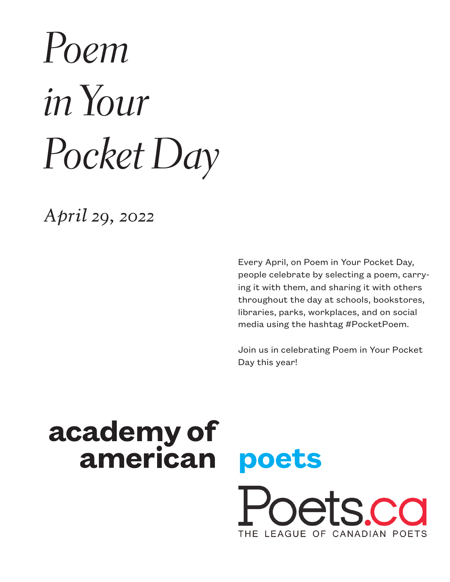# *Poem in Your Pocket Day*

*April 29, 2022*

Every April, on Poem in Your Pocket Day, people celebrate by selecting a poem, carrying it with them, and sharing it with others throughout the day at schools, bookstores, libraries, parks, workplaces, and on social media using the hashtag #PocketPoem.

Join us in celebrating Poem in Your Pocket Day this year!

pets co

THE LEAGUE OF CANADIAN POETS

poets

## academy of american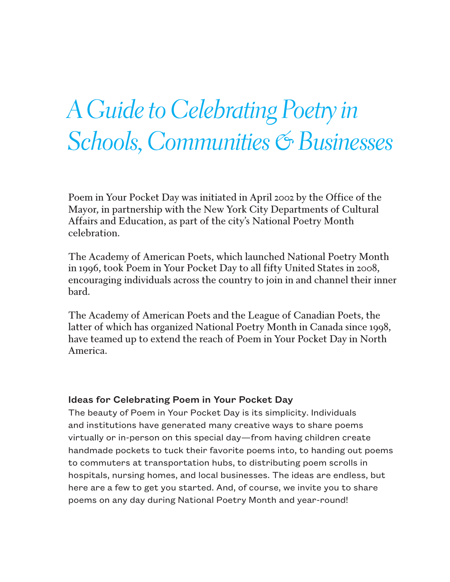## *A Guide to Celebrating Poetry in Schools, Communities & Businesses*

Poem in Your Pocket Day was initiated in April 2002 by the Office of the Mayor, in partnership with the New York City Departments of Cultural Affairs and Education, as part of the city's National Poetry Month celebration.

The Academy of American Poets, which launched National Poetry Month in 1996, took Poem in Your Pocket Day to all fifty United States in 2008, encouraging individuals across the country to join in and channel their inner bard.

The Academy of American Poets and the League of Canadian Poets, the latter of which has organized National Poetry Month in Canada since 1998, have teamed up to extend the reach of Poem in Your Pocket Day in North America.

#### Ideas for Celebrating Poem in Your Pocket Day

The beauty of Poem in Your Pocket Day is its simplicity. Individuals and institutions have generated many creative ways to share poems virtually or in-person on this special day—from having children create handmade pockets to tuck their favorite poems into, to handing out poems to commuters at transportation hubs, to distributing poem scrolls in hospitals, nursing homes, and local businesses. The ideas are endless, but here are a few to get you started. And, of course, we invite you to share poems on any day during National Poetry Month and year-round!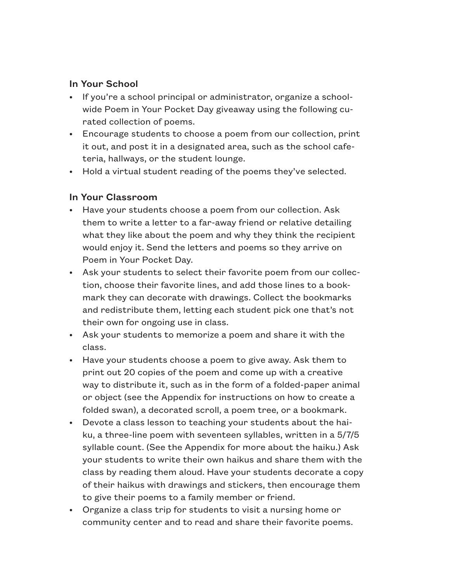#### In Your School

- If you're a school principal or administrator, organize a schoolwide Poem in Your Pocket Day giveaway using the following curated collection of poems.
- Encourage students to choose a poem from our collection, print it out, and post it in a designated area, such as the school cafeteria, hallways, or the student lounge.
- Hold a virtual student reading of the poems they've selected.

#### In Your Classroom

- Have your students choose a poem from our collection. Ask them to write a letter to a far-away friend or relative detailing what they like about the poem and why they think the recipient would enjoy it. Send the letters and poems so they arrive on Poem in Your Pocket Day.
- Ask your students to select their favorite poem from our collection, choose their favorite lines, and add those lines to a bookmark they can decorate with drawings. Collect the bookmarks and redistribute them, letting each student pick one that's not their own for ongoing use in class.
- Ask your students to memorize a poem and share it with the class.
- Have your students choose a poem to give away. Ask them to print out 20 copies of the poem and come up with a creative way to distribute it, such as in the form of a folded-paper animal or object (see the Appendix for instructions on how to create a folded swan), a decorated scroll, a poem tree, or a bookmark.
- Devote a class lesson to teaching your students about the haiku, a three-line poem with seventeen syllables, written in a 5/7/5 syllable count. (See the Appendix for more about the haiku.) Ask your students to write their own haikus and share them with the class by reading them aloud. Have your students decorate a copy of their haikus with drawings and stickers, then encourage them to give their poems to a family member or friend.
- Organize a class trip for students to visit a nursing home or community center and to read and share their favorite poems.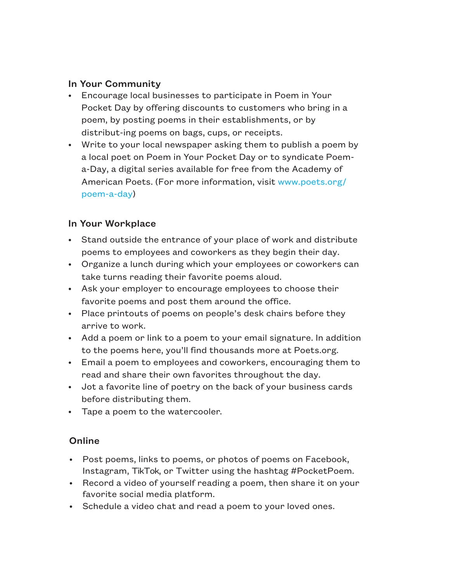#### In Your Community

- Encourage local businesses to participate in Poem in Your Pocket Day by offering discounts to customers who bring in a poem, by posting poems in their establishments, or by distribut-ing poems on bags, cups, or receipts.
- Write to your local newspaper asking them to publish a poem by a local poet on Poem in Your Pocket Day or to syndicate Poema-Day, a digital series available for free from the Academy of American Poets. (For more information, visit www.poets.org/ poem-a-day)

#### In Your Workplace

- Stand outside the entrance of your place of work and distribute poems to employees and coworkers as they begin their day.
- Organize a lunch during which your employees or coworkers can take turns reading their favorite poems aloud.
- Ask your employer to encourage employees to choose their favorite poems and post them around the office.
- Place printouts of poems on people's desk chairs before they arrive to work.
- Add a poem or link to a poem to your email signature. In addition to the poems here, you'll find thousands more at Poets.org.
- Email a poem to employees and coworkers, encouraging them to read and share their own favorites throughout the day.
- Jot a favorite line of poetry on the back of your business cards before distributing them.
- Tape a poem to the watercooler.

#### **Online**

- Post poems, links to poems, or photos of poems on Facebook, Instagram, TikTok, or Twitter using the hashtag #PocketPoem.
- Record a video of yourself reading a poem, then share it on your favorite social media platform.
- Schedule a video chat and read a poem to your loved ones.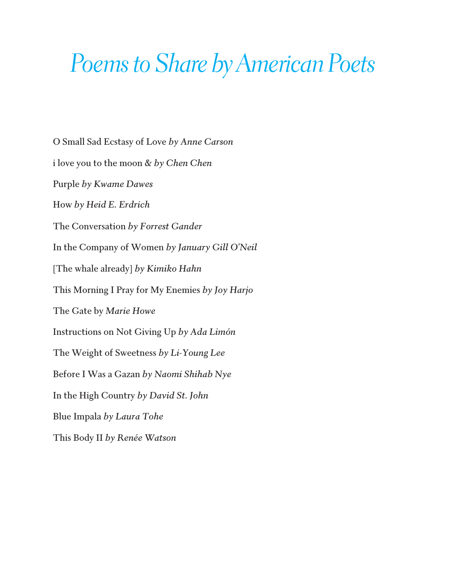## *Poems to Share by American Poets*

O Small Sad Ecstasy of Love *by Anne Carson*  i love you to the moon & *by Chen Chen* Purple *by Kwame Dawes* How *by Heid E. Erdrich* The Conversation *by Forrest Gander* In the Company of Women *by January Gill O'Neil*  [The whale already] *by Kimiko Hahn* This Morning I Pray for My Enemies *by Joy Harjo*  The Gate by *Marie Howe* Instructions on Not Giving Up *by Ada Limón*  The Weight of Sweetness *by Li-Young Lee*  Before I Was a Gazan *by Naomi Shihab Nye* In the High Country *by David St. John* Blue Impala *by Laura Tohe* This Body II *by Renée Watson*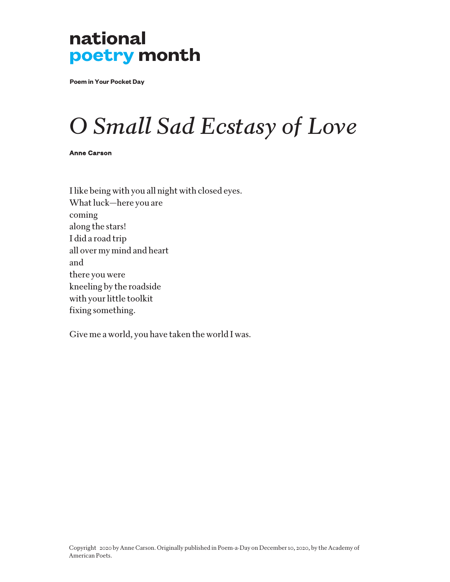**Poem in Your Pocket Day**

## *O Small Sad Ecstasy of Love*

Anne Carson

I like being with you all night with closed eyes. What luck—here you are coming along the stars! I did a road trip all over my mind and heart and there you were kneeling by the roadside with your little toolkit fixing something.

Give me a world, you have taken the world I was.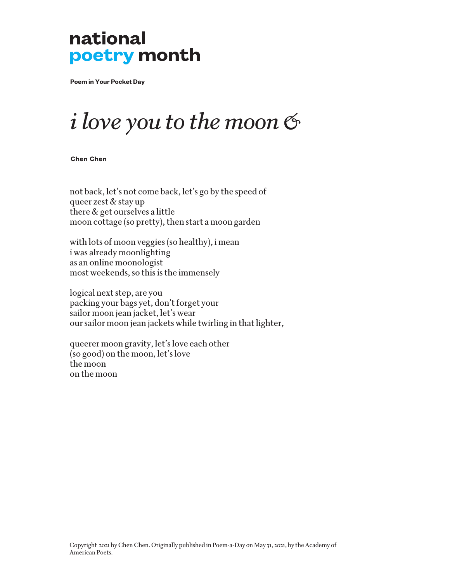**Poem in Your Pocket Day**

## *i love you to the moon &*

**Chen Chen**

not back, let's not come back, let's go by the speed of queer zest & stay up there & get ourselves a little moon cottage (so pretty), then start a moon garden

with lots of moon veggies (so healthy), i mean i was already moonlighting as an online moonologist most weekends, so this is the immensely

logical next step, are you packing your bags yet, don't forget your sailor moon jean jacket, let's wear our sailor moon jean jackets while twirling in that lighter,

queerer moon gravity, let's love each other (so good) on the moon, let's love the moon on the moon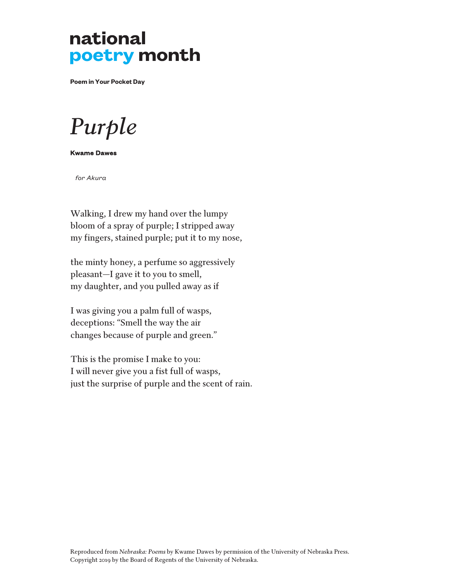**Poem in Your Pocket Day**

*Purple*

Kwame Dawes

 *for Akura*

Walking, I drew my hand over the lumpy bloom of a spray of purple; I stripped away my fingers, stained purple; put it to my nose,

the minty honey, a perfume so aggressively pleasant—I gave it to you to smell, my daughter, and you pulled away as if

I was giving you a palm full of wasps, deceptions: "Smell the way the air changes because of purple and green."

This is the promise I make to you: I will never give you a fist full of wasps, just the surprise of purple and the scent of rain.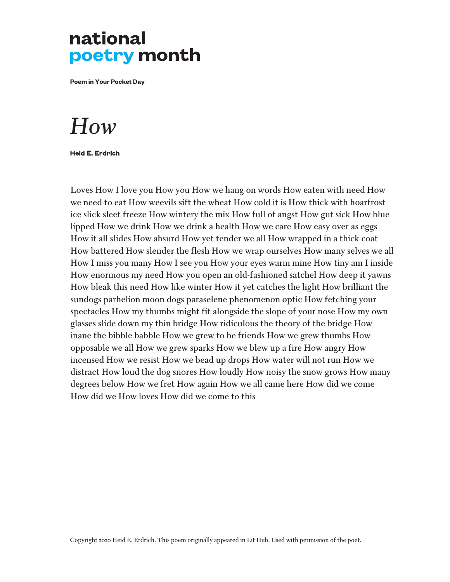**Poem in Your Pocket Day**

### *How*

Heid E. Erdrich

Loves How I love you How you How we hang on words How eaten with need How we need to eat How weevils sift the wheat How cold it is How thick with hoarfrost ice slick sleet freeze How wintery the mix How full of angst How gut sick How blue lipped How we drink How we drink a health How we care How easy over as eggs How it all slides How absurd How yet tender we all How wrapped in a thick coat How battered How slender the flesh How we wrap ourselves How many selves we all How I miss you many How I see you How your eyes warm mine How tiny am I inside How enormous my need How you open an old-fashioned satchel How deep it yawns How bleak this need How like winter How it yet catches the light How brilliant the sundogs parhelion moon dogs paraselene phenomenon optic How fetching your spectacles How my thumbs might fit alongside the slope of your nose How my own glasses slide down my thin bridge How ridiculous the theory of the bridge How inane the bibble babble How we grew to be friends How we grew thumbs How opposable we all How we grew sparks How we blew up a fire How angry How incensed How we resist How we bead up drops How water will not run How we distract How loud the dog snores How loudly How noisy the snow grows How many degrees below How we fret How again How we all came here How did we come How did we How loves How did we come to this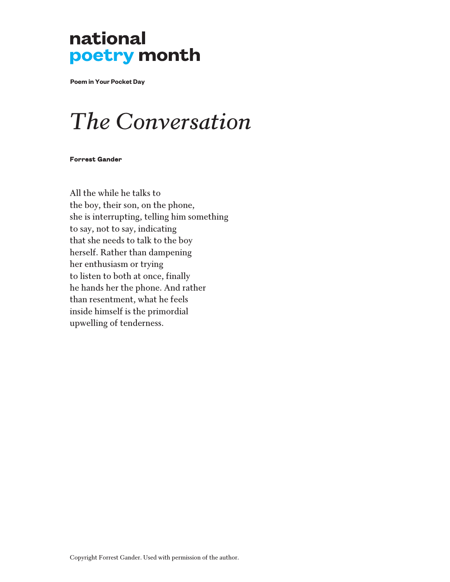**Poem in Your Pocket Day**

## *The Conversation*

#### Forrest Gander

All the while he talks to the boy, their son, on the phone, she is interrupting, telling him something to say, not to say, indicating that she needs to talk to the boy herself. Rather than dampening her enthusiasm or trying to listen to both at once, finally he hands her the phone. And rather than resentment, what he feels inside himself is the primordial upwelling of tenderness.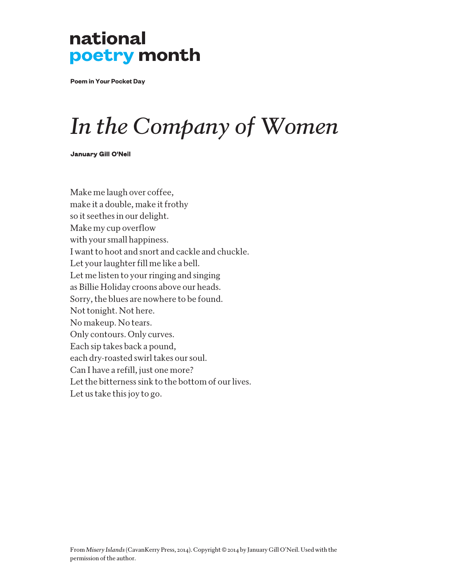**Poem in Your Pocket Day**

## *In the Company of Women*

#### January Gill O'Neil

Make me laugh over coffee, make it a double, make it frothy so it seethes in our delight. Make my cup overflow with your small happiness. I want to hoot and snort and cackle and chuckle. Let your laughter fill me like a bell. Let me listen to your ringing and singing as Billie Holiday croons above our heads. Sorry, the blues are nowhere to be found. Not tonight. Not here. No makeup. No tears. Only contours. Only curves. Each sip takes back a pound, each dry-roasted swirl takes our soul. Can I have a refill, just one more? Let the bitterness sink to the bottom of our lives. Let us take this joy to go.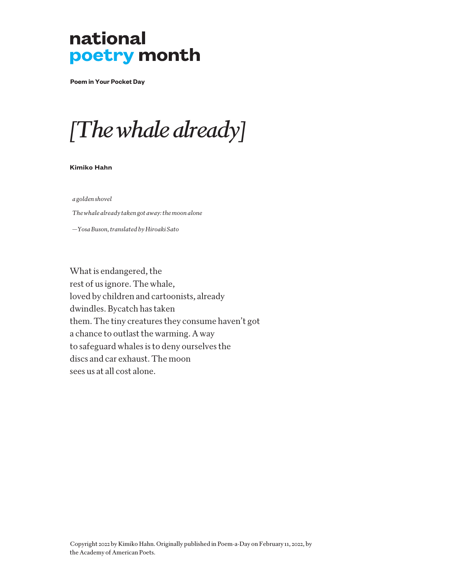**Poem in Your Pocket Day**

## *[The whale already]*

#### **Kimiko Hahn**

*a golden shovel*

 *The whale already taken got away: the moon alone*

 *—Yosa Buson, translated by Hiroaki Sato*

What is endangered, the rest of us ignore. The whale, loved by children and cartoonists, already dwindles. Bycatch has taken them. The tiny creatures they consume haven't got a chance to outlast the warming. A way to safeguard whales is to deny ourselves the discs and car exhaust. The moon sees us at all cost alone.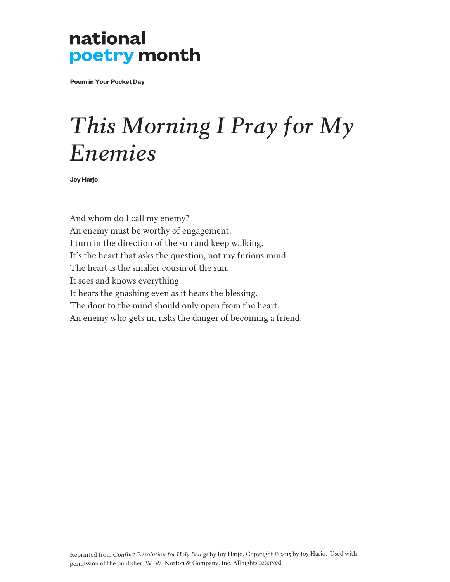**Poem in Your Pocket Day**

## *This Morning I Pray for My Enemies*

**Joy Harjo**

And whom do I call my enemy? An enemy must be worthy of engagement. I turn in the direction of the sun and keep walking. It's the heart that asks the question, not my furious mind. The heart is the smaller cousin of the sun. It sees and knows everything. It hears the gnashing even as it hears the blessing. The door to the mind should only open from the heart. An enemy who gets in, risks the danger of becoming a friend.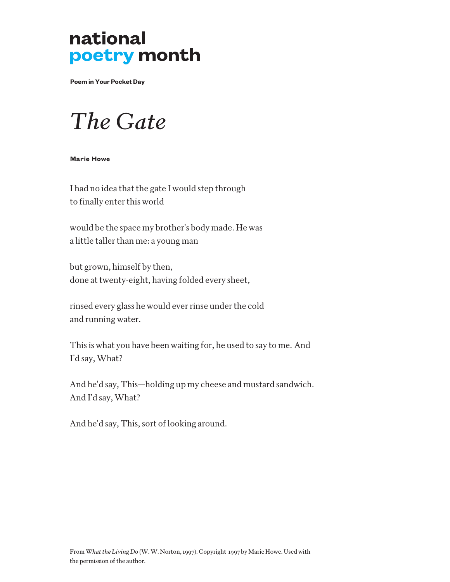**Poem in Your Pocket Day**

### *The Gate*

#### **Marie Howe**

I had no idea that the gate I would step through to finally enter this world

would be the space my brother's body made. He was a little taller than me: a young man

but grown, himself by then, done at twenty-eight, having folded every sheet,

rinsed every glass he would ever rinse under the cold and running water.

This is what you have been waiting for, he used to say to me. And I'd say, What?

And he'd say, This—holding up my cheese and mustard sandwich. And I'd say, What?

And he'd say, This, sort of looking around.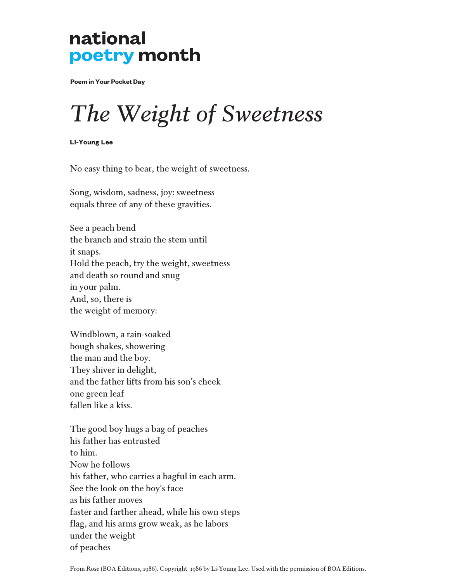**Poem in Your Pocket Day**

## *The Weight of Sweetness*

Li-Young Lee

No easy thing to bear, the weight of sweetness.

Song, wisdom, sadness, joy: sweetness equals three of any of these gravities.

See a peach bend the branch and strain the stem until it snaps. Hold the peach, try the weight, sweetness and death so round and snug in your palm. And, so, there is the weight of memory:

Windblown, a rain-soaked bough shakes, showering the man and the boy. They shiver in delight, and the father lifts from his son's cheek one green leaf fallen like a kiss.

The good boy hugs a bag of peaches his father has entrusted to him. Now he follows his father, who carries a bagful in each arm. See the look on the boy's face as his father moves faster and farther ahead, while his own steps flag, and his arms grow weak, as he labors under the weight of peaches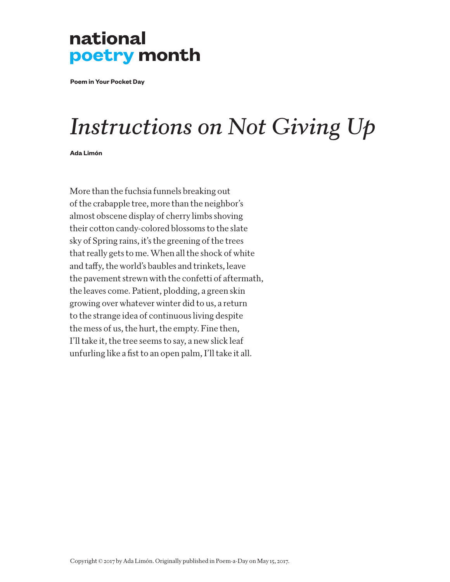**Poem in Your Pocket Day**

## *Instructions on Not Giving Up*

**Ada Limón**

More than the fuchsia funnels breaking out of the crabapple tree, more than the neighbor's almost obscene display of cherry limbs shoving their cotton candy-colored blossoms to the slate sky of Spring rains, it's the greening of the trees that really gets to me. When all the shock of white and taffy, the world's baubles and trinkets, leave the pavement strewn with the confetti of aftermath, the leaves come. Patient, plodding, a green skin growing over whatever winter did to us, a return to the strange idea of continuous living despite the mess of us, the hurt, the empty. Fine then, I'll take it, the tree seems to say, a new slick leaf unfurling like a fist to an open palm, I'll take it all.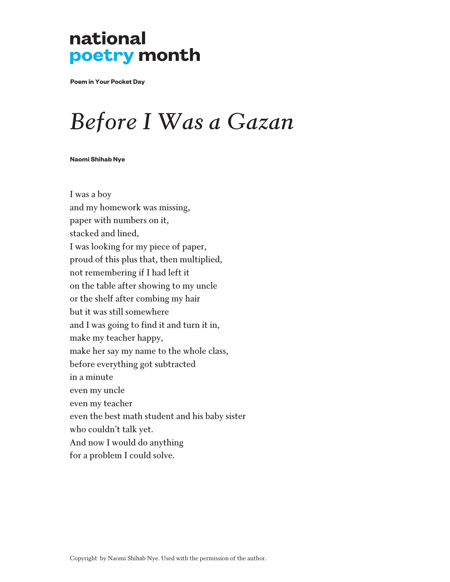**Poem in Your Pocket Day**

## *Before I Was a Gazan*

#### **Naomi Shihab Nye**

I was a boy and my homework was missing, paper with numbers on it, stacked and lined, I was looking for my piece of paper, proud of this plus that, then multiplied, not remembering if I had left it on the table after showing to my uncle or the shelf after combing my hair but it was still somewhere and I was going to find it and turn it in, make my teacher happy, make her say my name to the whole class, before everything got subtracted in a minute even my uncle even my teacher even the best math student and his baby sister who couldn't talk yet. And now I would do anything for a problem I could solve.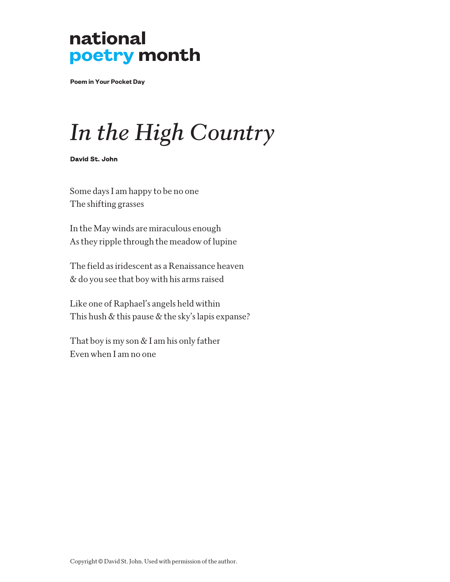**Poem in Your Pocket Day**

## *In the High Country*

David St. John

Some days I am happy to be no one The shifting grasses

In the May winds are miraculous enough As they ripple through the meadow of lupine

The field as iridescent as a Renaissance heaven & do you see that boy with his arms raised

Like one of Raphael's angels held within This hush & this pause & the sky's lapis expanse?

That boy is my son  $&$  I am his only father Even when I am no one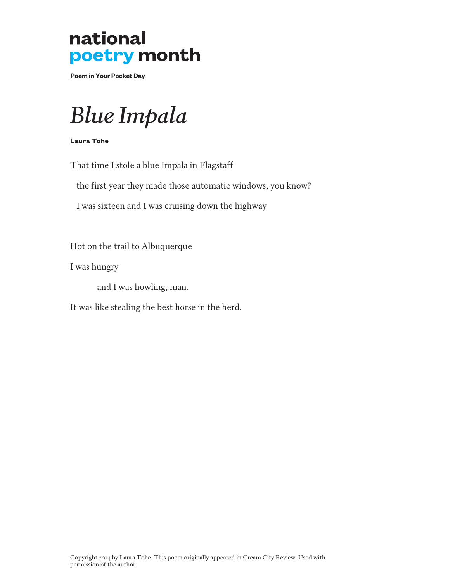**Poem in Your Pocket Day**

## *Blue Impala*

Laura Tohe

That time I stole a blue Impala in Flagstaff

the first year they made those automatic windows, you know?

I was sixteen and I was cruising down the highway

Hot on the trail to Albuquerque

I was hungry

and I was howling, man.

It was like stealing the best horse in the herd.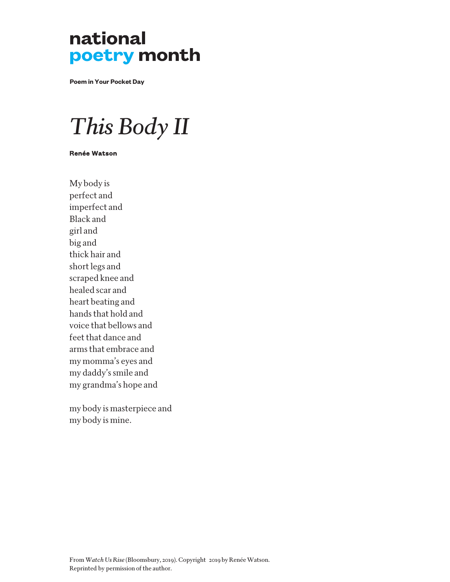**Poem in Your Pocket Day**

## *This Body II*

#### Renée Watson

My body is perfect and imperfect and Black and girl and big and thick hair and short legs and scraped knee and healed scar and heart beating and hands that hold and voice that bellows and feet that dance and arms that embrace and my momma's eyes and my daddy's smile and my grandma's hope and

my body is masterpiece and my body is mine.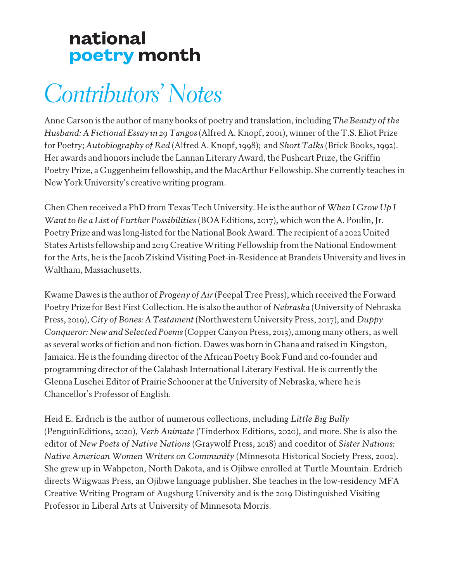## *Contributors' Notes*

Anne Carson is the author of many books of poetry and translation, including *The Beauty of the Husband: A Fictional Essay in 29 Tangos* (Alfred A. Knopf, 2001), winner of the T.S. Eliot Prize for Poetry; *Autobiography of Red* (Alfred A. Knopf, 1998); and *Short Talks* (Brick Books, 1992). Her awards and honors include the Lannan Literary Award, the Pushcart Prize, the Griffin Poetry Prize, a Guggenheim fellowship, and the MacArthur Fellowship. She currently teaches in New York University's creative writing program.

Chen Chen received a PhD from Texas Tech University. He is the author of *When I Grow Up I Want to Be a List of Further Possibilities* (BOA Editions, 2017), which won the A. Poulin, Jr. Poetry Prize and was long-listed for the National Book Award. The recipient of a 2022 United States Artists fellowship and 2019 Creative Writing Fellowship from the National Endowment for the Arts, he is the Jacob Ziskind Visiting Poet-in-Residence at Brandeis University and lives in Waltham, Massachusetts.

Kwame Dawes is the author of *Progeny of Air* (Peepal Tree Press), which received the Forward Poetry Prize for Best First Collection. He is also the author of *Nebraska* (University of Nebraska Press, 2019), *City of Bones: A Testament* (Northwestern University Press, 2017), and *Duppy Conqueror: New and Selected Poems*(Copper Canyon Press, 2013), among many others, as well as several works of fiction and non-fiction. Dawes was born in Ghana and raised in Kingston, Jamaica. He is the founding director of the African Poetry Book Fund and co-founder and programming director of the Calabash International Literary Festival. He is currently the Glenna Luschei Editor of Prairie Schooner at the University of Nebraska, where he is Chancellor's Professor of English.

Heid E. Erdrich is the author of numerous collections, including *Little Big Bully* (PenguinEditions, 2020), *Verb Animate* (Tinderbox Editions, 2020), and more. She is also the editor of *New Poets of Native Nations* (Graywolf Press, 2018) and coeditor of *Sister Nations: Native American Women Writers on Community* (Minnesota Historical Society Press, 2002). She grew up in Wahpeton, North Dakota, and is Ojibwe enrolled at Turtle Mountain. Erdrich directs Wiigwaas Press, an Ojibwe language publisher. She teaches in the low-residency MFA Creative Writing Program of Augsburg University and is the 2019 Distinguished Visiting Professor in Liberal Arts at University of Minnesota Morris.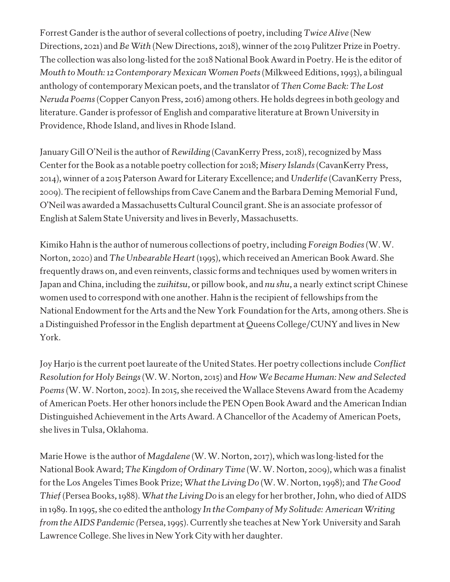Forrest Gander is the author of several collections of poetry, including *Twice Alive* (New Directions, 2021) and *Be With* (New Directions, 2018), winner of the 2019 Pulitzer Prize in Poetry. The collection was also long-listed for the 2018 National Book Award in Poetry. He is the editor of *Mouth to Mouth: 12 Contemporary Mexican Women Poets*(Milkweed Editions, 1993), a bilingual anthology of contemporary Mexican poets, and the translator of *Then Come Back: The Lost Neruda Poems* (Copper Canyon Press, 2016) among others. He holds degrees in both geology and literature. Gander is professor of English and comparative literature at Brown University in Providence, Rhode Island, and lives in Rhode Island.

January Gill O'Neil is the author of *Rewilding* (CavanKerry Press, 2018), recognized by Mass Center for the Book as a notable poetry collection for 2018; *Misery Islands* (CavanKerry Press, 2014), winner of a 2015 Paterson Award for Literary Excellence; and *Underlife* (CavanKerry Press, 2009). The recipient of fellowships from Cave Canem and the Barbara Deming Memorial Fund, O'Neil was awarded a Massachusetts Cultural Council grant. She is an associate professor of English at Salem State University and lives in Beverly, Massachusetts.

Kimiko Hahn is the author of numerous collections of poetry, including *Foreign Bodies* (W. W. Norton, 2020) and *The Unbearable Heart*(1995), which received an American Book Award. She frequently draws on, and even reinvents, classic forms and techniques used by women writers in Japan and China, including the *zuihitsu*, or pillow book, and *nu shu*, a nearly extinct script Chinese women used to correspond with one another. Hahn is the recipient of fellowships from the National Endowment for the Arts and the New York Foundation for the Arts, among others. She is a Distinguished Professor in the English department at Queens College/CUNY and lives in New York.

Joy Harjo is the current poet laureate of the United States. Her poetry collections include *Conflict Resolution for Holy Beings* (W. W. Norton, 2015) and *How We Became Human: New and Selected Poems* (W. W. Norton, 2002). In 2015, she received the Wallace Stevens Award from the Academy of American Poets. Her other honors include the PEN Open Book Award and the American Indian Distinguished Achievement in the Arts Award. A Chancellor of the Academy of American Poets, she lives in Tulsa, Oklahoma.

Marie Howe is the author of *Magdalene* (W. W. Norton, 2017), which was long-listed for the National Book Award; *The Kingdom of Ordinary Time* (W. W. Norton, 2009), which was a finalist for the Los Angeles Times Book Prize; *What the Living Do* (W. W. Norton, 1998); and *The Good Thief* (Persea Books, 1988). *What the Living Do* is an elegy for her brother, John, who died of AIDS in 1989. In 1995, she co edited the anthology *In the Company of My Solitude: American Writing from the AIDS Pandemic (*Persea, 1995). Currently she teaches at New York University and Sarah Lawrence College. She lives in New York City with her daughter.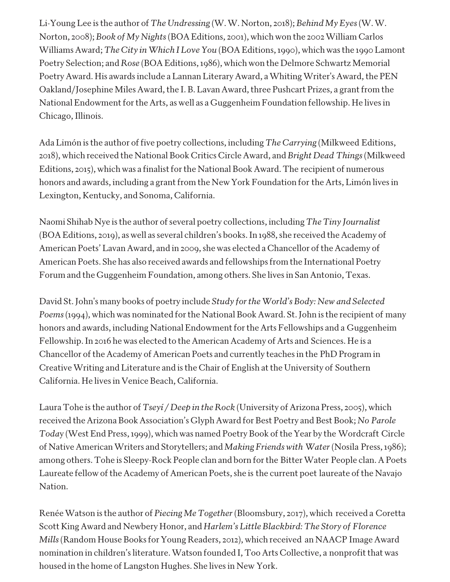Li-Young Lee is the author of *The Undressing* (W. W. Norton, 2018); *Behind My Eyes* (W. W. Norton, 2008); *Book of My Nights* (BOA Editions, 2001), which won the 2002 William Carlos Williams Award; *The City in Which I Love You* (BOA Editions, 1990), which was the 1990 Lamont Poetry Selection; and *Rose* (BOA Editions, 1986), which won the Delmore Schwartz Memorial Poetry Award. His awards include a Lannan Literary Award, a Whiting Writer's Award, the PEN Oakland/Josephine Miles Award, the I. B. Lavan Award, three Pushcart Prizes, a grant from the National Endowment for the Arts, as well as a Guggenheim Foundation fellowship. He lives in Chicago, Illinois.

Ada Limón is the author of five poetry collections, including *The Carrying* (Milkweed Editions, 2018), which received the National Book Critics Circle Award, and *Bright Dead Things*(Milkweed Editions, 2015), which was a finalist for the National Book Award. The recipient of numerous honors and awards, including a grant from the New York Foundation for the Arts, Limón lives in Lexington, Kentucky, and Sonoma, California.

Naomi Shihab Nye is the author of several poetry collections, including *The Tiny Journalist*  (BOA Editions, 2019), as well as several children's books. In 1988, she received the Academy of American Poets' Lavan Award, and in 2009, she was elected a Chancellor of the Academy of American Poets. She has also received awards and fellowships from the International Poetry Forum and the Guggenheim Foundation, among others. She lives in San Antonio, Texas.

David St. John's many books of poetry include *Study for the World's Body: New and Selected Poems*(1994), which was nominated for the National Book Award. St. John is the recipient of many honors and awards, including National Endowment for the Arts Fellowships and a Guggenheim Fellowship. In 2016 he was elected to the American Academy of Arts and Sciences. He is a Chancellor of the Academy of American Poets and currently teaches in the PhD Program in Creative Writing and Literature and is the Chair of English at the University of Southern California. He lives in Venice Beach, California.

Laura Tohe is the author of *Tseyí / Deep in the Rock* (University of Arizona Press, 2005), which received the Arizona Book Association's Glyph Award for Best Poetry and Best Book; *No Parole Toda*y (West End Press, 1999), which was named Poetry Book of the Year by the Wordcraft Circle of Native American Writers and Storytellers; and *Making Friends with Water*(Nosila Press, 1986); among others. Tohe is Sleepy-Rock People clan and born for the Bitter Water People clan. A Poets Laureate fellow of the Academy of American Poets, she is the current poet laureate of the Navajo Nation.

Renée Watson is the author of *Piecing Me Together* (Bloomsbury, 2017), which received a Coretta Scott King Award and Newbery Honor, and *Harlem's Little Blackbird: The Story of Florence Mills* (Random House Books for Young Readers, 2012), which received an NAACP Image Award nomination in children's literature. Watson founded I, Too Arts Collective, a nonprofit that was housed in the home of Langston Hughes. She lives in New York.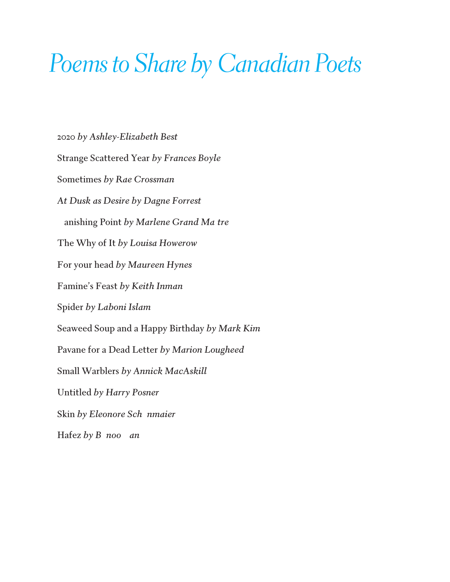## *Poems to Share by Canadian Poets*

2020 *by Ashley-Elizabeth Best* Strange Scattered Year *by Frances Boyle* Sometimes *by Rae Crossman At Dusk as Desire by Dagne Forrest*  anishing Point by Marlene Grand Ma tre The Why of It *by Louisa Howerow* For your head *by Maureen Hynes* Famine's Feast *by Keith Inman* Spider *by Laboni Islam*  Seaweed Soup and a Happy Birthday *by Mark Kim* Pavane for a Dead Letter *by Marion Lougheed* Small Warblers *by Annick MacAskill* Untitled *by Harry Posner* Skin by Eleonore Sch nmaier Hafez *by* B noo an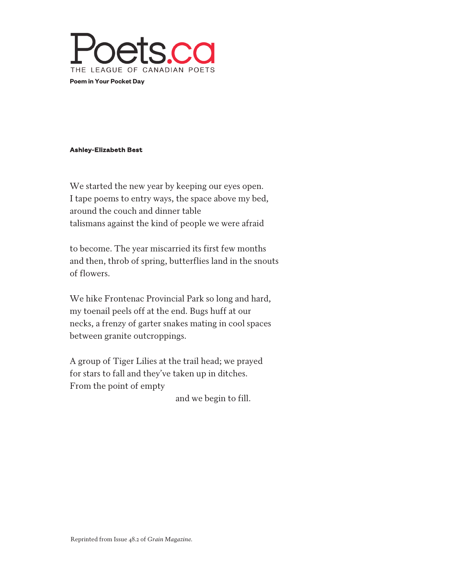

#### Ashley-Elizabeth Best

We started the new year by keeping our eyes open. I tape poems to entry ways, the space above my bed, around the couch and dinner table talismans against the kind of people we were afraid

to become. The year miscarried its first few months and then, throb of spring, butterflies land in the snouts of flowers.

We hike Frontenac Provincial Park so long and hard, my toenail peels off at the end. Bugs huff at our necks, a frenzy of garter snakes mating in cool spaces between granite outcroppings.

A group of Tiger Lilies at the trail head; we prayed for stars to fall and they've taken up in ditches. From the point of empty

and we begin to fill.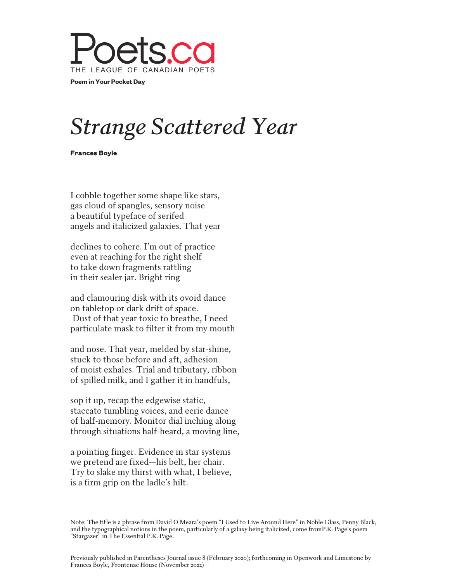

## *Strange Scattered Year*

Frances Boyle

I cobble together some shape like stars, gas cloud of spangles, sensory noise a beautiful typeface of serifed angels and italicized galaxies. That year

declines to cohere. I'm out of practice even at reaching for the right shelf to take down fragments rattling in their sealer jar. Bright ring

and clamouring disk with its ovoid dance on tabletop or dark drift of space. Dust of that year toxic to breathe, I need particulate mask to filter it from my mouth

and nose. That year, melded by star-shine, stuck to those before and aft, adhesion of moist exhales. Trial and tributary, ribbon of spilled milk, and I gather it in handfuls,

sop it up, recap the edgewise static, staccato tumbling voices, and eerie dance of half-memory. Monitor dial inching along through situations half-heard, a moving line,

a pointing finger. Evidence in star systems we pretend are fixed—his belt, her chair. Try to slake my thirst with what, I believe, is a firm grip on the ladle's hilt.

Note: The title is a phrase from David O'Meara's poem "I Used to Live Around Here" in Noble Glass, Penny Black, and the typographical notions in the poem, particularly of a galaxy being italicized, come fromP.K. Page's poem "Stargazer" in The Essential P.K. Page.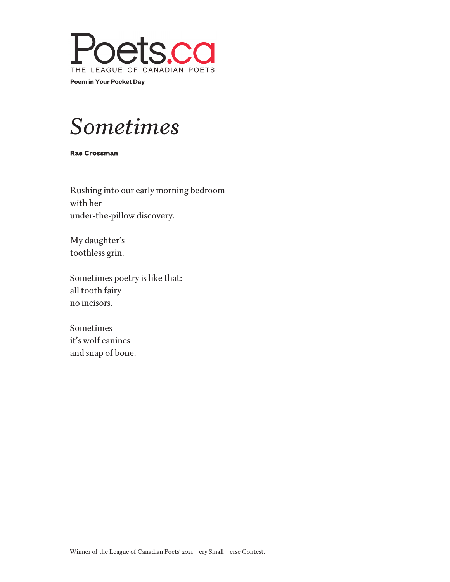

### *Sometimes*

Rae Crossman

Rushing into our early morning bedroom with her under-the-pillow discovery.

My daughter's toothless grin.

Sometimes poetry is like that: all tooth fairy no incisors.

Sometimes it's wolf canines and snap of bone.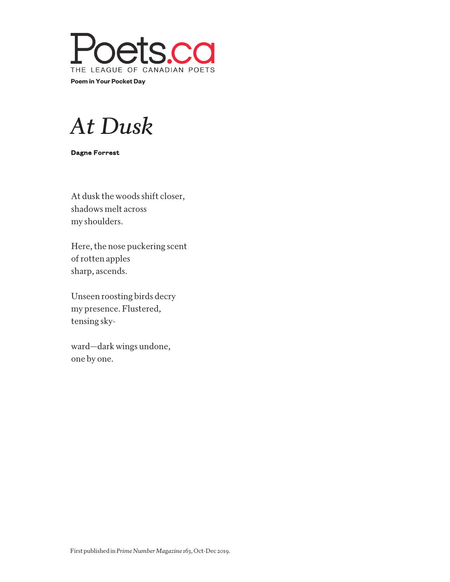

### *At Dusk*

Dagne Forrest

At dusk the woods shift closer, shadows melt across my shoulders.

Here, the nose puckering scent of rotten apples sharp, ascends.

Unseen roosting birds decry my presence. Flustered, tensing sky-

ward—dark wings undone, one by one.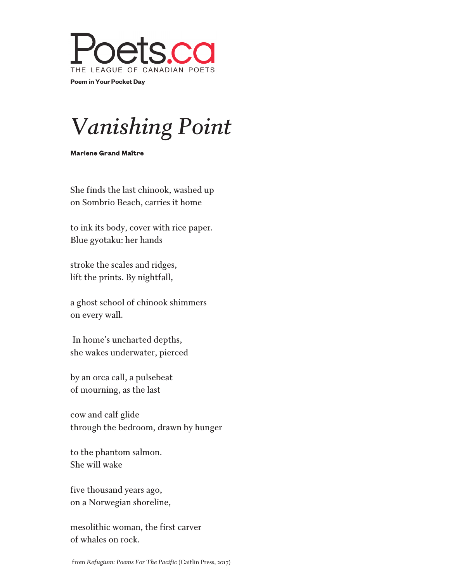

## *Vanishing Point*

Marlene Grand Maître

She finds the last chinook, washed up on Sombrio Beach, carries it home

to ink its body, cover with rice paper. Blue gyotaku: her hands

stroke the scales and ridges, lift the prints. By nightfall,

a ghost school of chinook shimmers on every wall.

 In home's uncharted depths, she wakes underwater, pierced

by an orca call, a pulsebeat of mourning, as the last

cow and calf glide through the bedroom, drawn by hunger

to the phantom salmon. She will wake

five thousand years ago, on a Norwegian shoreline,

mesolithic woman, the first carver of whales on rock.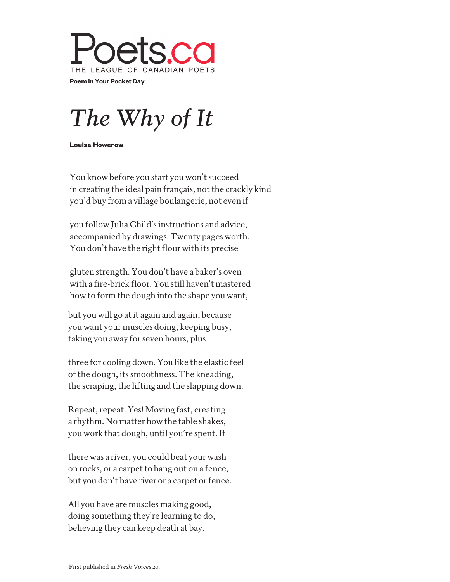

## *The Why of It*

Louisa Howerow

You know before you start you won't succeed in creating the ideal pain français, not the crackly kind you'd buy from a village boulangerie, not even if

you follow Julia Child's instructions and advice, accompanied by drawings. Twenty pages worth. You don't have the right flour with its precise

gluten strength. You don't have a baker's oven with a fire-brick floor. You still haven't mastered how to form the dough into the shape you want,

but you will go at it again and again, because you want your muscles doing, keeping busy, taking you away for seven hours, plus

three for cooling down. You like the elastic feel of the dough, its smoothness. The kneading, the scraping, the lifting and the slapping down.

Repeat, repeat. Yes! Moving fast, creating a rhythm. No matter how the table shakes, you work that dough, until you're spent. If

there was a river, you could beat your wash on rocks, or a carpet to bang out on a fence, but you don't have river or a carpet or fence.

All you have are muscles making good, doing something they're learning to do, believing they can keep death at bay.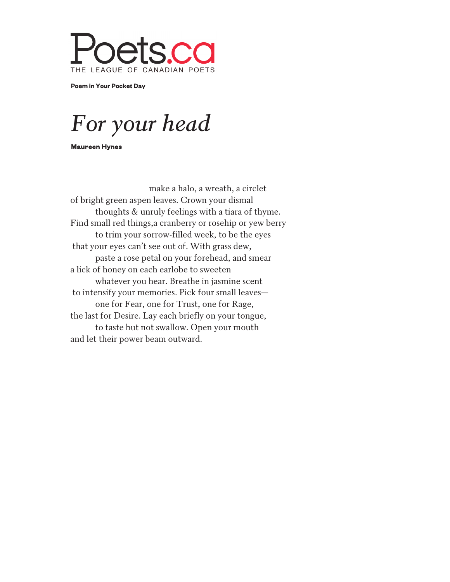

**Poem in Your Pocket Day**

*For your head*

Maureen Hynes

make a halo, a wreath, a circlet of bright green aspen leaves. Crown your dismal thoughts & unruly feelings with a tiara of thyme. Find small red things,a cranberry or rosehip or yew berry to trim your sorrow-filled week, to be the eyes that your eyes can't see out of. With grass dew, paste a rose petal on your forehead, and smear a lick of honey on each earlobe to sweeten whatever you hear. Breathe in jasmine scent to intensify your memories. Pick four small leaves one for Fear, one for Trust, one for Rage, the last for Desire. Lay each briefly on your tongue, to taste but not swallow. Open your mouth and let their power beam outward.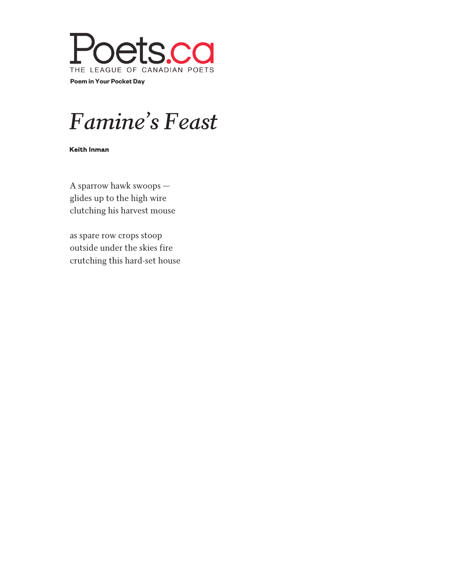

### *Famine's Feast*

Keith Inman

A sparrow hawk swoops glides up to the high wire clutching his harvest mouse

as spare row crops stoop outside under the skies fire crutching this hard-set house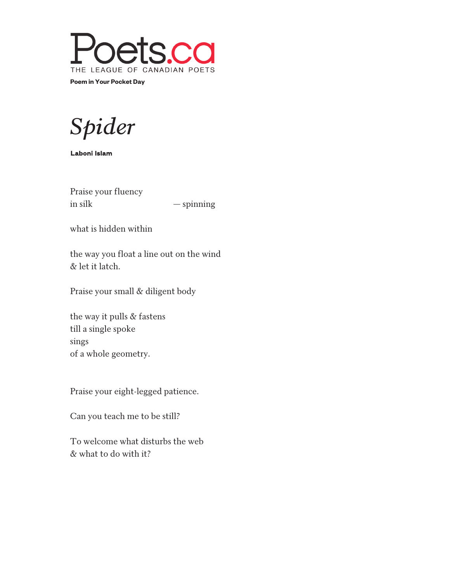

*Spider*

Laboni Islam

Praise your fluency in silk — spinning

what is hidden within

the way you float a line out on the wind & let it latch.

Praise your small & diligent body

the way it pulls & fastens till a single spoke sings of a whole geometry.

Praise your eight-legged patience.

Can you teach me to be still?

To welcome what disturbs the web & what to do with it?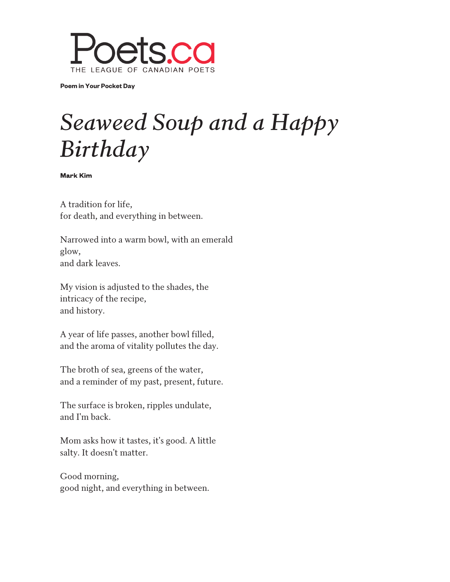

**Poem in Your Pocket Day**

## *Seaweed Soup and a Happy Birthday*

Mark Kim

A tradition for life, for death, and everything in between.

Narrowed into a warm bowl, with an emerald glow, and dark leaves.

My vision is adjusted to the shades, the intricacy of the recipe, and history.

A year of life passes, another bowl filled, and the aroma of vitality pollutes the day.

The broth of sea, greens of the water, and a reminder of my past, present, future.

The surface is broken, ripples undulate, and I'm back.

Mom asks how it tastes, it's good. A little salty. It doesn't matter.

Good morning, good night, and everything in between.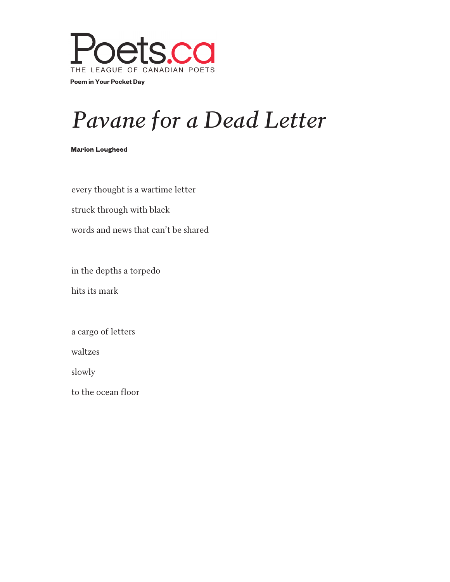

## *Pavane for a Dead Letter*

#### Marion Lougheed

every thought is a wartime letter

struck through with black

words and news that can't be shared

in the depths a torpedo

hits its mark

a cargo of letters

waltzes

slowly

to the ocean floor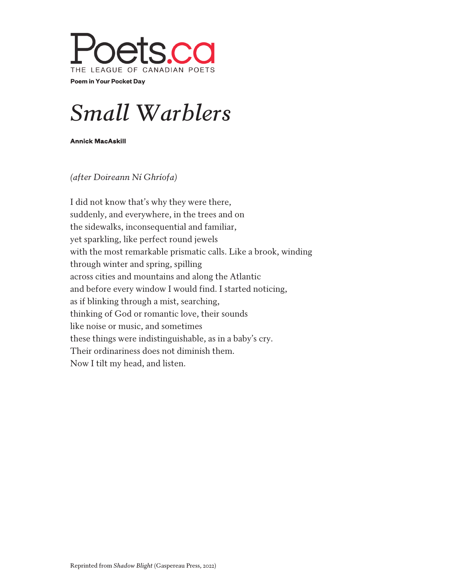

## *Small Warblers*

Annick MacAskill

*(after Doireann Ní Ghríofa)*

I did not know that's why they were there, suddenly, and everywhere, in the trees and on the sidewalks, inconsequential and familiar, yet sparkling, like perfect round jewels with the most remarkable prismatic calls. Like a brook, winding through winter and spring, spilling across cities and mountains and along the Atlantic and before every window I would find. I started noticing, as if blinking through a mist, searching, thinking of God or romantic love, their sounds like noise or music, and sometimes these things were indistinguishable, as in a baby's cry. Their ordinariness does not diminish them. Now I tilt my head, and listen.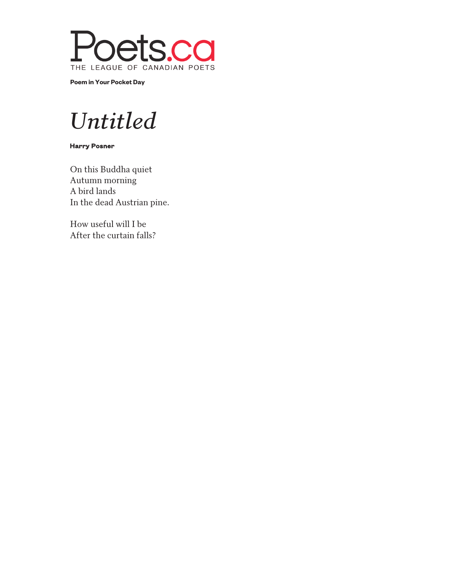

**Poem in Your Pocket Day**

### *Untitled*

Harry Posner

On this Buddha quiet Autumn morning A bird lands In the dead Austrian pine.

How useful will I be After the curtain falls?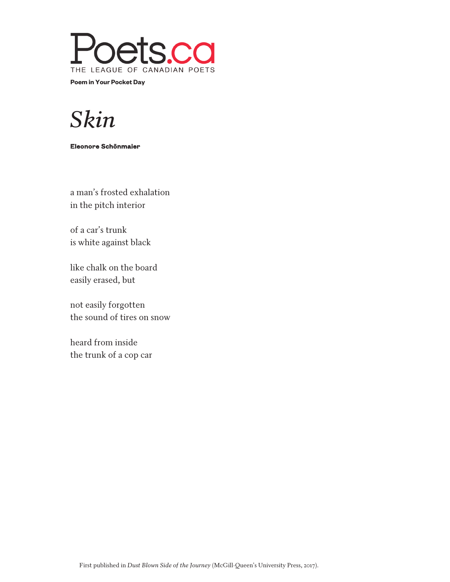

### *Skin*

#### Eleonore Schönmaier

a man's frosted exhalation in the pitch interior

of a car's trunk is white against black

like chalk on the board easily erased, but

not easily forgotten the sound of tires on snow

heard from inside the trunk of a cop car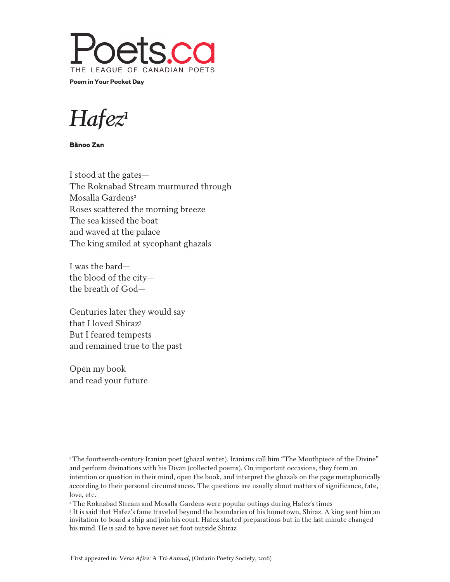

*Hafez<sup>1</sup>*

Bänoo Zan

I stood at the gates— The Roknabad Stream murmured through Mosalla Gardens<sup>2</sup> Roses scattered the morning breeze The sea kissed the boat and waved at the palace The king smiled at sycophant ghazals

I was the bard the blood of the city the breath of God—

Centuries later they would say that I loved Shiraz<sup>3</sup> But I feared tempests and remained true to the past

Open my book and read your future

<sup>1</sup>The fourteenth-century Iranian poet (ghazal writer). Iranians call him "The Mouthpiece of the Divine" and perform divinations with his Divan (collected poems). On important occasions, they form an intention or question in their mind, open the book, and interpret the ghazals on the page metaphorically according to their personal circumstances. The questions are usually about matters of significance, fate, love, etc.

<sup>2</sup> The Roknabad Stream and Mosalla Gardens were popular outings during Hafez's times

3 It is said that Hafez's fame traveled beyond the boundaries of his hometown, Shiraz. A king sent him an invitation to board a ship and join his court. Hafez started preparations but in the last minute changed his mind. He is said to have never set foot outside Shiraz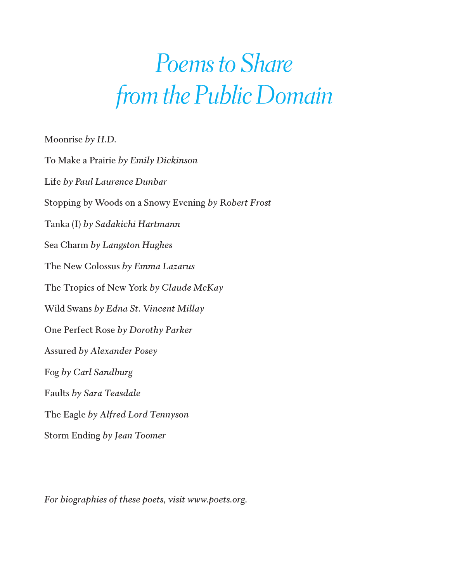## *Poems to Share from the Public Domain*

Moonrise by H.D.

To Make a Prairie by Emily Dickinson Life by Paul Laurence Dunbar Stopping by Woods on a Snowy Evening by Robert Frost Tanka (I) by Sadakichi Hartmann Sea Charm by Langston Hughes The New Colossus by Emma Lazarus The Tropics of New York by Claude McKay Wild Swans by Edna St. Vincent Millay One Perfect Rose by Dorothy Parker **Assured by Alexander Posey** Fog by Carl Sandburg Faults by Sara Teasdale The Eagle by Alfred Lord Tennyson Storm Ending by Jean Toomer

For biographies of these poets, visit www.poets.org.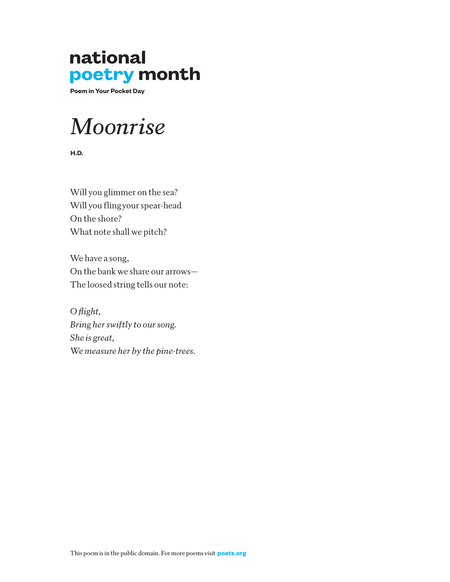**Poem in Your Pocket Day**

### *Moonrise*

**H.D.** 

Will you glimmer on the sea? Will you flingyour spear-head On the shore? What note shall we pitch?

We have a song, On the bank we share our arrows— The loosed string tells our note:

*O flight, Bring her swiftly to our song. She is great, We measure her by the pine-trees.*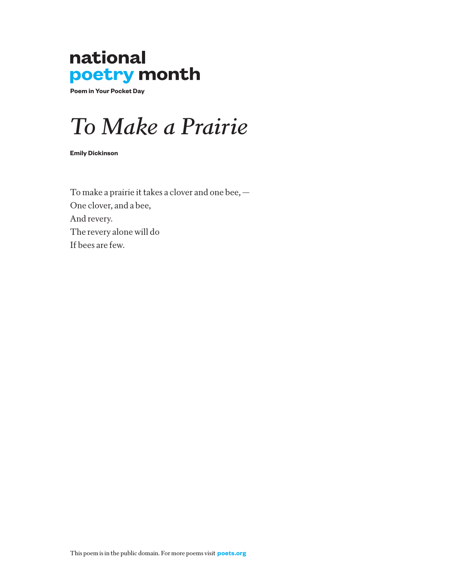**Poem in Your Pocket Day**

### *To Make a Prairie*

**Emily Dickinson** 

To make a prairie it takes a clover and one bee, — One clover, and a bee, And revery. The revery alone will do If bees are few.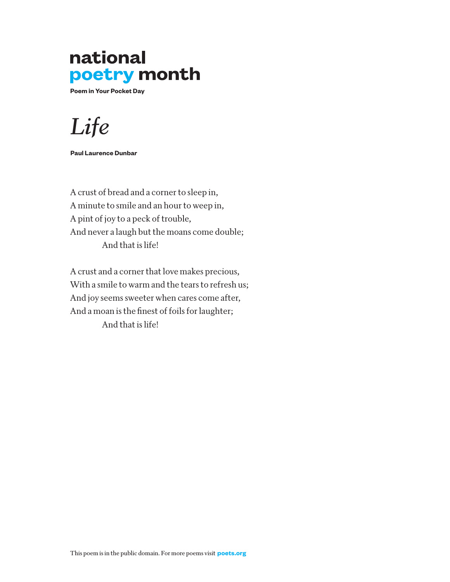**Poem in Your Pocket Day**

*Life*

**Paul Laurence Dunbar**

A crust of bread and a corner to sleep in, A minute to smile and an hour to weep in, A pint of joy to a peck of trouble, And never a laugh but the moans come double; And that is life!

A crust and a corner that love makes precious, With a smile to warm and the tears to refresh us; And joy seems sweeter when cares come after, And a moan is the finest of foils for laughter; And that is life!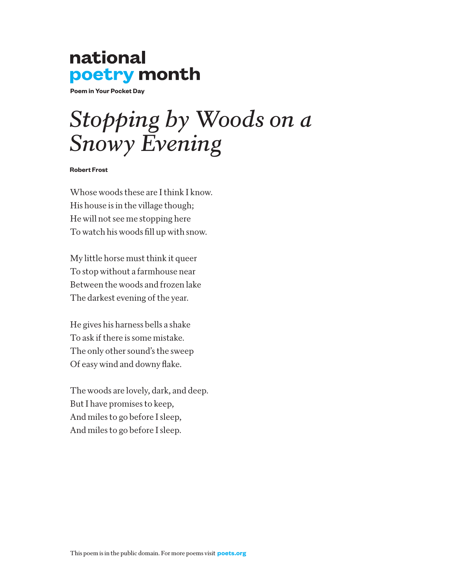**Poem in Your Pocket Day**

## *Stopping by Woods on a Snowy Evening*

#### **Robert Frost**

Whose woods these are I think I know. His house is in the village though; He will not see me stopping here To watch his woods fill up with snow.

My little horse must think it queer To stop without a farmhouse near Between the woods and frozen lake The darkest evening of the year.

He gives his harness bells a shake To ask if there is some mistake. The only other sound's the sweep Of easy wind and downy flake.

The woods are lovely, dark, and deep. But I have promises to keep, And miles to go before I sleep, And miles to go before I sleep.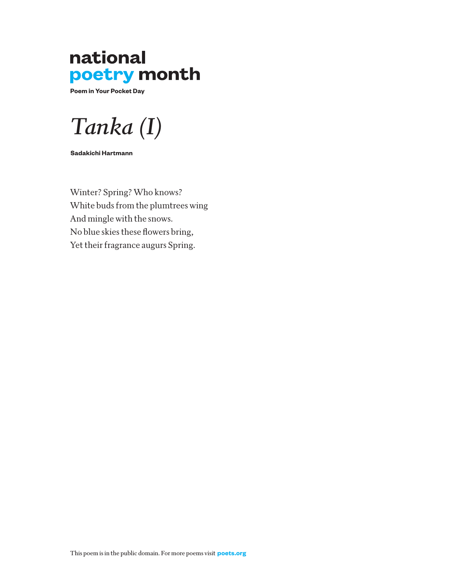**Poem in Your Pocket Day**

*Tanka (I)*

**Sadakichi Hartmann**

Winter? Spring? Who knows? White buds from the plumtrees wing And mingle with the snows. No blue skies these flowers bring, Yet their fragrance augurs Spring.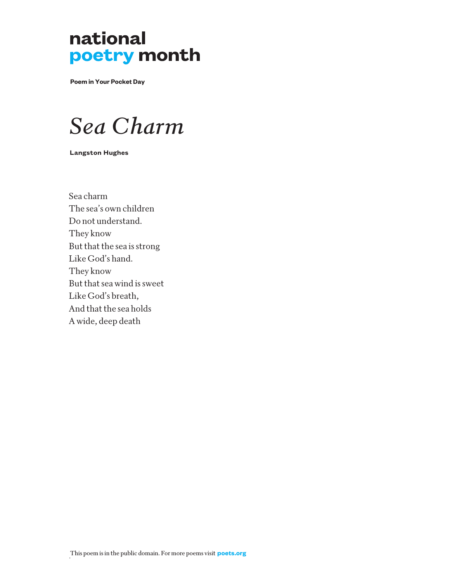**Poem in Your Pocket Day**

### *Sea Charm*

**Langston Hughes**

Sea charm The sea's own children Do not understand. They know But that the sea is strong Like God's hand. They know But that sea wind is sweet Like God's breath, And that the sea holds A wide, deep death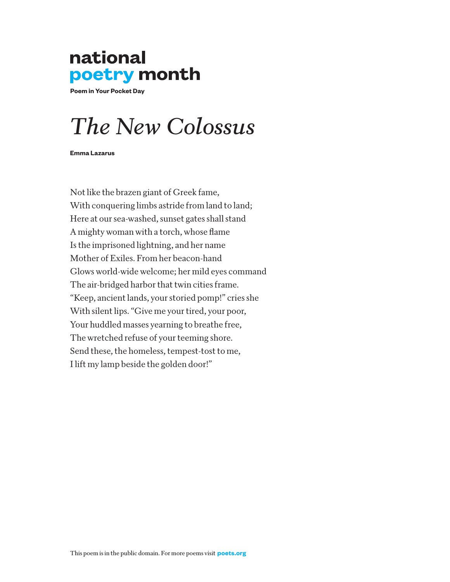**Poem in Your Pocket Day**

## *The New Colossus*

**Emma Lazarus**

Not like the brazen giant of Greek fame, With conquering limbs astride from land to land; Here at our sea-washed, sunset gates shall stand A mighty woman with a torch, whose flame Is the imprisoned lightning, and her name Mother of Exiles. From her beacon-hand Glows world-wide welcome; her mild eyes command The air-bridged harbor that twin cities frame. "Keep, ancient lands, your storied pomp!" cries she With silent lips. "Give me your tired, your poor, Your huddled masses yearning to breathe free, The wretched refuse of your teeming shore. Send these, the homeless, tempest-tost to me, I lift my lamp beside the golden door!"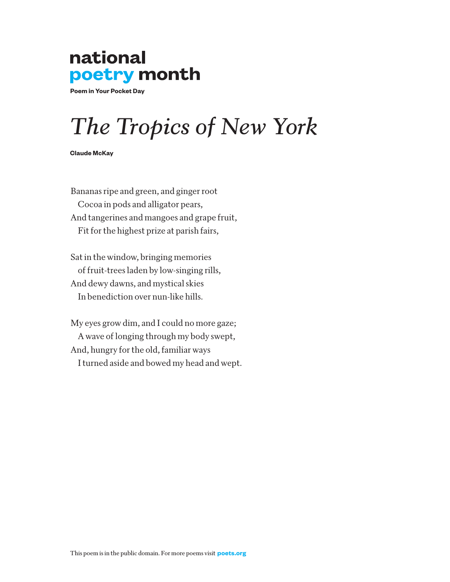**Poem in Your Pocket Day**

## *The Tropics of New York*

**Claude McKay** 

Bananas ripe and green, and ginger root Cocoa in pods and alligator pears, And tangerines and mangoes and grape fruit, Fit for the highest prize at parish fairs,

Sat in the window, bringing memories of fruit-trees laden by low-singing rills, And dewy dawns, and mystical skies In benediction over nun-like hills.

My eyes grow dim, and I could no more gaze; A wave of longing through my body swept, And, hungry for the old, familiar ways I turned aside and bowed my head and wept.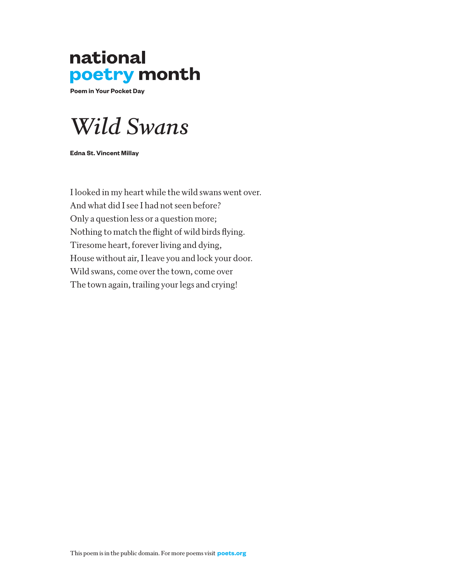**Poem in Your Pocket Day**



**Edna St. Vincent Millay**

I looked in my heart while the wild swans went over. And what did I see I had not seen before? Only a question less or a question more; Nothing to match the flight of wild birds flying. Tiresome heart, forever living and dying, House without air, I leave you and lock your door. Wild swans, come over the town, come over The town again, trailing your legs and crying!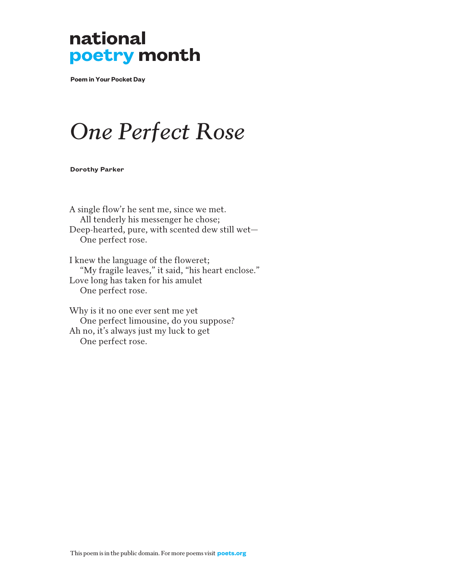**Poem in Your Pocket Day**

## *One Perfect Rose*

**Dorothy Parker**

A single flow'r he sent me, since we met. All tenderly his messenger he chose; Deep-hearted, pure, with scented dew still wet— One perfect rose.

I knew the language of the floweret; "My fragile leaves," it said, "his heart enclose." Love long has taken for his amulet One perfect rose.

Why is it no one ever sent me yet One perfect limousine, do you suppose? Ah no, it's always just my luck to get One perfect rose.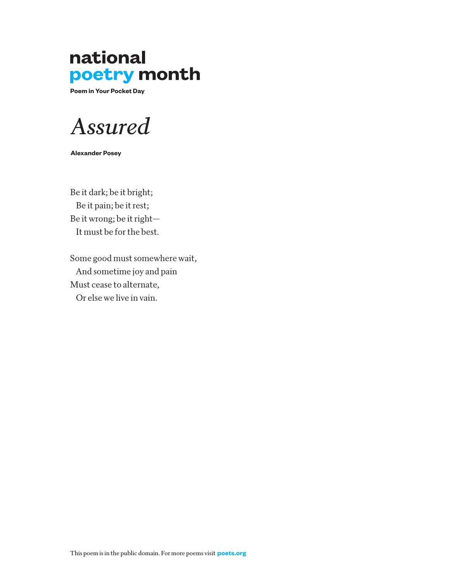**Poem in Your Pocket Day**

*Assured*

**Alexander Posey**

Be it dark; be it bright; Be it pain; be it rest; Be it wrong; be it right— It must be for the best.

Some good must somewhere wait, And sometime joy and pain Must cease to alternate, Or else we live in vain.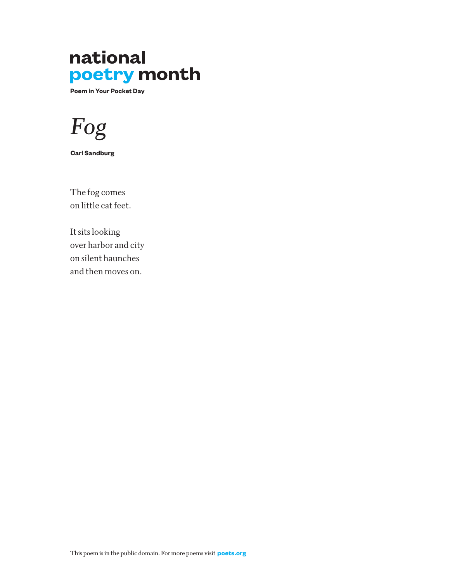**Poem in Your Pocket Day**



**Carl Sandburg** 

The fog comes on little cat feet.

It sits looking over harbor and city on silent haunches and then moves on.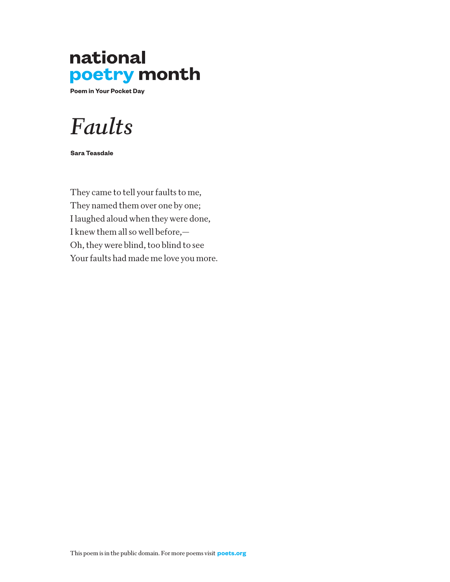**Poem in Your Pocket Day**

### *Faults*

**Sara Teasdale** 

They came to tell your faults to me, They named them over one by one; I laughed aloud when they were done, I knew them all so well before,— Oh, they were blind, too blind to see Your faults had made me love you more.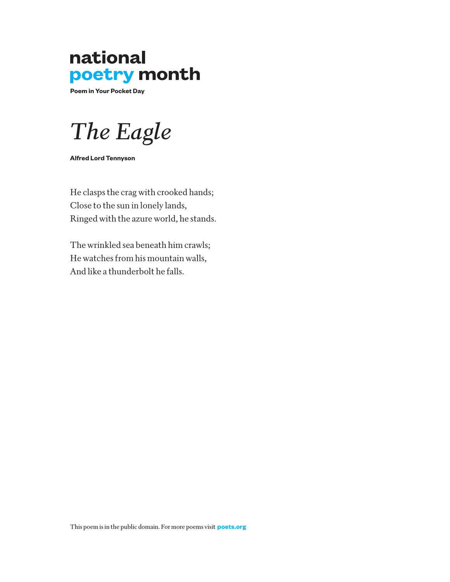**Poem in Your Pocket Day**

*The Eagle* 

**Alfred Lord Tennyson**

He clasps the crag with crooked hands; Close to the sun in lonely lands, Ringed with the azure world, he stands.

The wrinkled sea beneath him crawls; He watches from his mountain walls, And like a thunderbolt he falls.

This poem is in the public domain. For more poems visit **poets.org**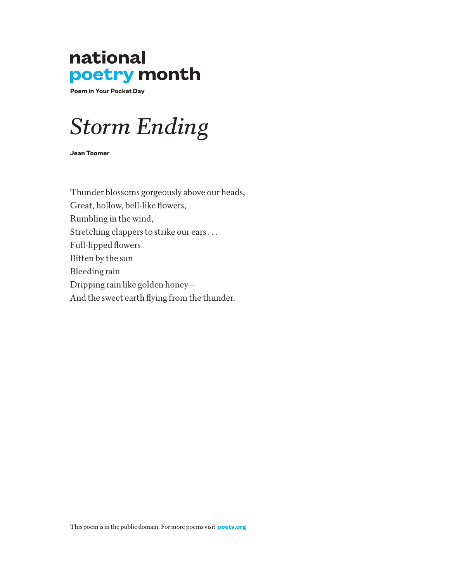**Poem in Your Pocket Day**

## *Storm Ending*

**Jean Toomer**

Thunder blossoms gorgeously above our heads, Great, hollow, bell-like flowers, Rumbling in the wind, Stretching clappers to strike our ears . . . Full-lipped flowers Bitten by the sun Bleeding rain Dripping rain like golden honey— And the sweet earth flying from the thunder.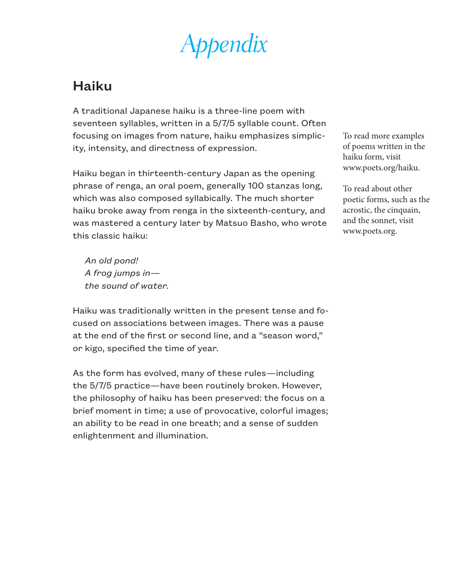*Appendix*

#### Haiku

A traditional Japanese haiku is a three-line poem with seventeen syllables, written in a 5/7/5 syllable count. Often focusing on images from nature, haiku emphasizes simplicity, intensity, and directness of expression.

Haiku began in thirteenth-century Japan as the opening phrase of renga, an oral poem, generally 100 stanzas long, which was also composed syllabically. The much shorter haiku broke away from renga in the sixteenth-century, and was mastered a century later by Matsuo Basho, who wrote this classic haiku:

 *An old pond! A frog jumps in the sound of water.*

Haiku was traditionally written in the present tense and focused on associations between images. There was a pause at the end of the first or second line, and a "season word," or kigo, specified the time of year.

As the form has evolved, many of these rules—including the 5/7/5 practice—have been routinely broken. However, the philosophy of haiku has been preserved: the focus on a brief moment in time; a use of provocative, colorful images; an ability to be read in one breath; and a sense of sudden enlightenment and illumination.

To read more examples of poems written in the haiku form, visit www.poets.org/haiku.

To read about other poetic forms, such as the acrostic, the cinquain, and the sonnet, visit www.poets.org.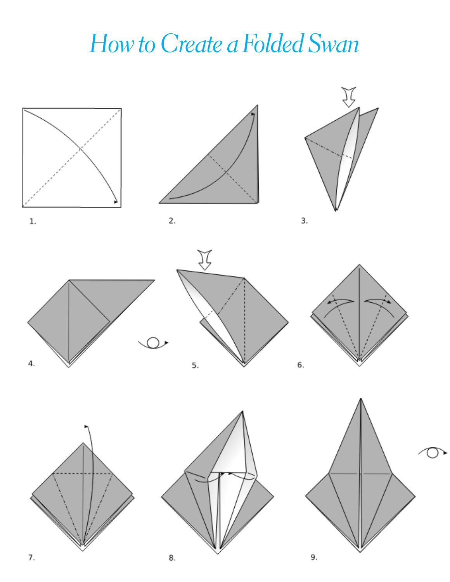## *How to Create a Folded Swan*

















 $\overline{4}$ .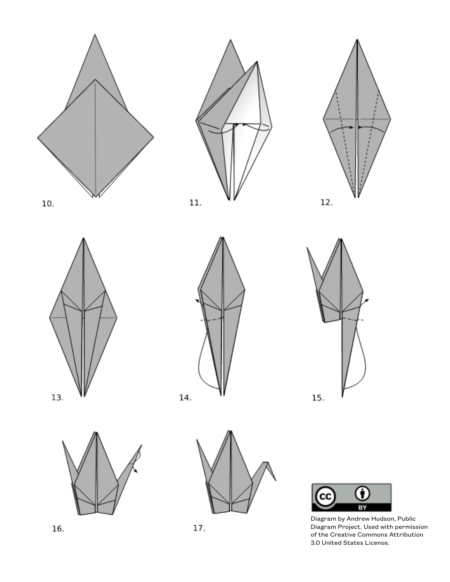

















Diagram by Andrew Hudson, Public Diagram Project. Used with permission of the Creative Commons Attribution 3.0 United States License.

16.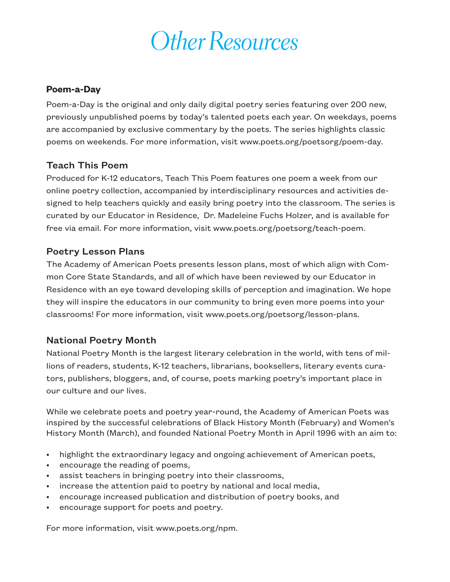## *Other Resources*

#### **Poem-a-Day**

Poem-a-Day is the original and only daily digital poetry series featuring over 200 new, previously unpublished poems by today's talented poets each year. On weekdays, poems are accompanied by exclusive commentary by the poets. The series highlights classic poems on weekends. For more information, visit www.poets.org/poetsorg/poem-day.

#### Teach This Poem

Produced for K-12 educators, Teach This Poem features one poem a week from our online poetry collection, accompanied by interdisciplinary resources and activities designed to help teachers quickly and easily bring poetry into the classroom. The series is curated by our Educator in Residence, Dr. Madeleine Fuchs Holzer, and is available for free via email. For more information, visit www.poets.org/poetsorg/teach-poem.

#### Poetry Lesson Plans

The Academy of American Poets presents lesson plans, most of which align with Common Core State Standards, and all of which have been reviewed by our Educator in Residence with an eye toward developing skills of perception and imagination. We hope they will inspire the educators in our community to bring even more poems into your classrooms! For more information, visit www.poets.org/poetsorg/lesson-plans.

#### National Poetry Month

National Poetry Month is the largest literary celebration in the world, with tens of millions of readers, students, K-12 teachers, librarians, booksellers, literary events curators, publishers, bloggers, and, of course, poets marking poetry's important place in our culture and our lives.

While we celebrate poets and poetry year-round, the Academy of American Poets was inspired by the successful celebrations of Black History Month (February) and Women's History Month (March), and founded National Poetry Month in April 1996 with an aim to:

- highlight the extraordinary legacy and ongoing achievement of American poets,
- encourage the reading of poems,
- assist teachers in bringing poetry into their classrooms,
- increase the attention paid to poetry by national and local media,
- encourage increased publication and distribution of poetry books, and
- encourage support for poets and poetry.

For more information, visit www.poets.org/npm.